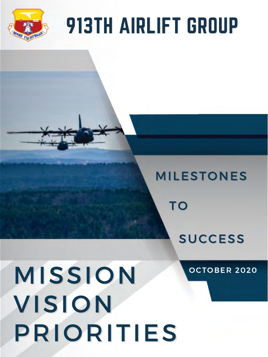

# 913TH AIRLIFT GROUP

# MILESTONES

# M ISS ION V IS ION PR IOR I T IES

## OCTOBER 2020



# SUCCESS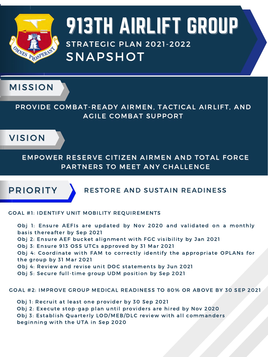

#### PROVIDE COMBAT-READY AIRMEN, TACTICAL AIRLIFT, AND AGILE COMBAT SUPPORT





EMPOWER RESERVE CITIZEN AIRMEN AND TOTAL FORCE PARTNERS TO MEET ANY CHALLENGE

# 913TH AIRLIFT GROUP SNAPSHOT **STRATEGIC PLAN 2021-2022**



#### GOAL #1: IDENTIFY UNIT MOBILITY REQUIREMENTS

Obj 1: Ensure AEFIs are updated by Nov 2020 and validated on a monthly basis thereafter by Sep 2021

- Obj 2: Ensure AEF bucket alignment with FGC visibility by Jan 2021
- Obj 3: Ensure 913 OSS UTCs approved by 31 Mar 2021
- Obj 4: Coordinate with FAM to correctly identify the appropriate OPLANs for the group by 31 Mar 2021
- Obj 4: Review and revise unit DOC statements by Jun 2021
- Obj 5: Secure full-time group UDM position by Sep 2021

GOAL #2: IMPROVE GROUP MEDICAL READINESS TO 80% OR ABOVE BY 30 SEP 2021

Obj 1: Recruit at least one provider by 30 Sep 2021 Obj 2: Execute stop-gap plan until providers are hired by Nov 2020 Obj 3: Establish Quarterly LOD/MEB/DLC review with all commanders beginning with the UTA in Sep 2020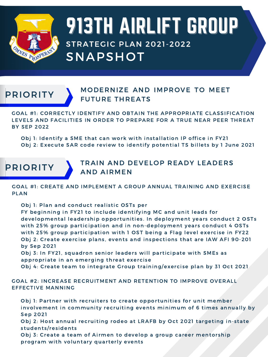

# 913TH AIRLIFT GROUP SNAPSHOT **STRATEGIC PLAN 2021-2022**

## PRIORITY MODERNIZE AND IMPROVE TO MEET **FUTURE THREATS**

GOAL #1: CORRECTLY IDENTIFY AND OBTAIN THE APPROPRIATE CLASSIFICATION LEVELS AND FACILITIES IN ORDER TO PREPARE FOR A TRUE NEAR PEER THREAT **BY SEP 2022** 

Obj 1: Identify a SME that can work with installation IP office in FY21 Obj 2: Execute SAR code review to identify potential TS billets by 1 June 2021



GOAL #1: CREATE AND IMPLEMENT A GROUP ANNUAL TRAINING AND EXERCISE PLAN

- Obj 1: Plan and conduct realistic OSTs per
- FY beginning in FY21 to include identifying MC and unit leads for developmental leadership opportunities. In deployment years conduct 2 OSTs with 25% group participation and in non-deployment years conduct 4 OSTs with 25% group participation with 1 OST being a Flag level exercise in FY22 Obj 2: Create exercise plans, events and inspections that are IAW AFI 90-201 by Sep 2021
- Obj 3: In FY21, squadron senior leaders will participate with SMEs as appropriate in an emerging threat exercise
- Obj 4: Create team to integrate Group training/exercise plan by 31 Oct 2021

#### GOAL #2: INCREASE RECRUITMENT AND RETENTION TO IMPROVE OVERALL EFFECTIVE MANNING

- Obj 1: Partner with recruiters to create opportunities for unit member involvement in community recruiting events minimum of 6 times annually by **Sep 2021**
- Obj 2: Host annual recruiting rodeo at LRAFB by Oct 2021 targeting in-state students/residents
- Obj 3: Create a team of Airmen to develop a group career mentorship program with voluntary quarterly events